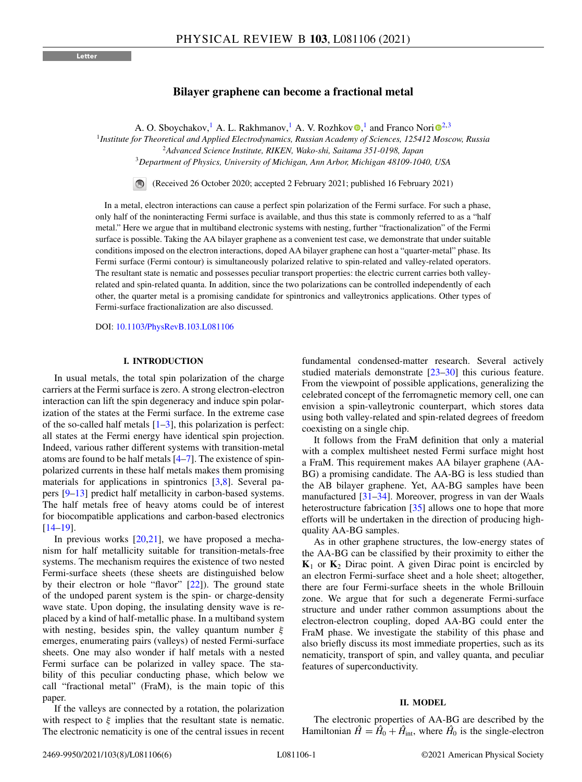# **Bilayer graphene can become a fractional metal**

A. O. Sboychakov[,](https://orcid.org/0000-0003-4320-9755)<sup>1</sup> A. L. Rakhmanov,<sup>1</sup> A. V. Rozhkov **.**<sup>1</sup> and Franco Nor[i](https://orcid.org/0000-0003-3682-7432) <sup>2,3</sup>

<sup>1</sup>*Institute for Theoretical and Applied Electrodynamics, Russian Academy of Sciences, 125412 Moscow, Russia*

<sup>3</sup>*Department of Physics, University of Michigan, Ann Arbor, Michigan 48109-1040, USA*

(Received 26 October 2020; accepted 2 February 2021; published 16 February 2021)

In a metal, electron interactions can cause a perfect spin polarization of the Fermi surface. For such a phase, only half of the noninteracting Fermi surface is available, and thus this state is commonly referred to as a "half metal." Here we argue that in multiband electronic systems with nesting, further "fractionalization" of the Fermi surface is possible. Taking the AA bilayer graphene as a convenient test case, we demonstrate that under suitable conditions imposed on the electron interactions, doped AA bilayer graphene can host a "quarter-metal" phase. Its Fermi surface (Fermi contour) is simultaneously polarized relative to spin-related and valley-related operators. The resultant state is nematic and possesses peculiar transport properties: the electric current carries both valleyrelated and spin-related quanta. In addition, since the two polarizations can be controlled independently of each other, the quarter metal is a promising candidate for spintronics and valleytronics applications. Other types of Fermi-surface fractionalization are also discussed.

DOI: [10.1103/PhysRevB.103.L081106](https://doi.org/10.1103/PhysRevB.103.L081106)

### **I. INTRODUCTION**

In usual metals, the total spin polarization of the charge carriers at the Fermi surface is zero. A strong electron-electron interaction can lift the spin degeneracy and induce spin polarization of the states at the Fermi surface. In the extreme case of the so-called half metals  $[1-3]$ , this polarization is perfect: all states at the Fermi energy have identical spin projection. Indeed, various rather different systems with transition-metal atoms are found to be half metals [\[4–7\]](#page-4-0). The existence of spinpolarized currents in these half metals makes them promising materials for applications in spintronics [\[3,8\]](#page-4-0). Several papers [\[9–13\]](#page-4-0) predict half metallicity in carbon-based systems. The half metals free of heavy atoms could be of interest for biocompatible applications and carbon-based electronics [\[14–19\]](#page-4-0).

In previous works  $[20,21]$  $[20,21]$ , we have proposed a mechanism for half metallicity suitable for transition-metals-free systems. The mechanism requires the existence of two nested Fermi-surface sheets (these sheets are distinguished below by their electron or hole "flavor" [\[22\]](#page-5-0)). The ground state of the undoped parent system is the spin- or charge-density wave state. Upon doping, the insulating density wave is replaced by a kind of half-metallic phase. In a multiband system with nesting, besides spin, the valley quantum number  $\xi$ emerges, enumerating pairs (valleys) of nested Fermi-surface sheets. One may also wonder if half metals with a nested Fermi surface can be polarized in valley space. The stability of this peculiar conducting phase, which below we call "fractional metal" (FraM), is the main topic of this paper.

If the valleys are connected by a rotation, the polarization with respect to  $\xi$  implies that the resultant state is nematic. The electronic nematicity is one of the central issues in recent

fundamental condensed-matter research. Several actively studied materials demonstrate [\[23–30\]](#page-5-0) this curious feature. From the viewpoint of possible applications, generalizing the celebrated concept of the ferromagnetic memory cell, one can envision a spin-valleytronic counterpart, which stores data using both valley-related and spin-related degrees of freedom coexisting on a single chip.

It follows from the FraM definition that only a material with a complex multisheet nested Fermi surface might host a FraM. This requirement makes AA bilayer graphene (AA-BG) a promising candidate. The AA-BG is less studied than the AB bilayer graphene. Yet, AA-BG samples have been manufactured [\[31–34\]](#page-5-0). Moreover, progress in van der Waals heterostructure fabrication [\[35\]](#page-5-0) allows one to hope that more efforts will be undertaken in the direction of producing highquality AA-BG samples.

As in other graphene structures, the low-energy states of the AA-BG can be classified by their proximity to either the  $K_1$  or  $K_2$  Dirac point. A given Dirac point is encircled by an electron Fermi-surface sheet and a hole sheet; altogether, there are four Fermi-surface sheets in the whole Brillouin zone. We argue that for such a degenerate Fermi-surface structure and under rather common assumptions about the electron-electron coupling, doped AA-BG could enter the FraM phase. We investigate the stability of this phase and also briefly discuss its most immediate properties, such as its nematicity, transport of spin, and valley quanta, and peculiar features of superconductivity.

#### **II. MODEL**

The electronic properties of AA-BG are described by the Hamiltonian  $\hat{H} = \hat{H}_0 + \hat{H}_{int}$ , where  $\hat{H}_0$  is the single-electron

<sup>2</sup>*Advanced Science Institute, RIKEN, Wako-shi, Saitama 351-0198, Japan*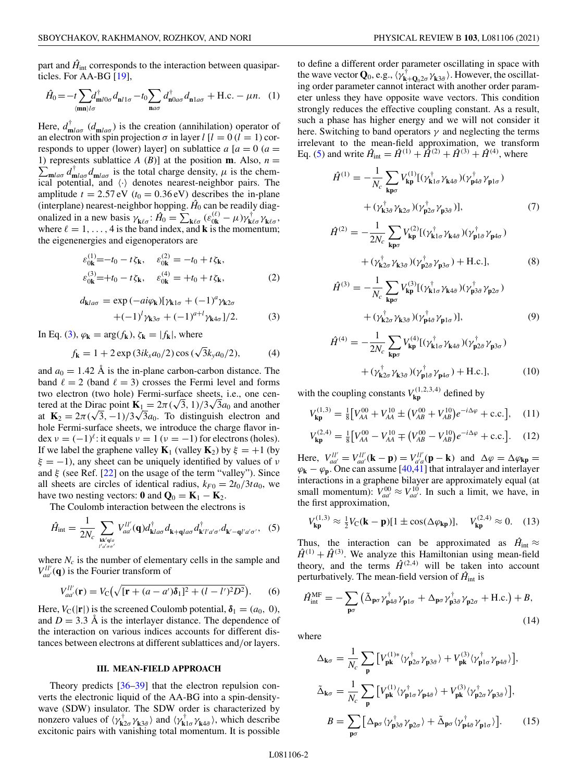<span id="page-1-0"></span>part and  $\hat{H}_{int}$  corresponds to the interaction between quasiparticles. For AA-BG [\[19\]](#page-4-0),

$$
\hat{H}_0 = -t \sum_{\langle \mathbf{m} \mathbf{n} \rangle l \sigma} d_{\mathbf{n}l1\sigma}^{\dagger} - t_0 \sum_{\mathbf{n} a \sigma} d_{\mathbf{n} 0 a \sigma}^{\dagger} d_{\mathbf{n} 1 a \sigma} + \text{H.c.} - \mu n. \quad (1)
$$

Here,  $d_{\mathbf{m}l a\sigma}^{\dagger}$  ( $d_{\mathbf{m}l a\sigma}$ ) is the creation (annihilation) operator of an electron with spin projection  $\sigma$  in layer  $l$  [ $l = 0$  ( $l = 1$ ) corresponds to upper (lower) layer] on sublattice  $a \mid a = 0$  ( $a =$  $\sum_{m \mid a\sigma} d_{m \mid a\sigma}^{\dagger} d_{m \mid a\sigma}$  is the total charge density,  $\mu$  is the chem-1) represents sublattice *A* (*B*)] at the position **m**. Also,  $n =$ ical potential, and  $\langle \cdot \rangle$  denotes nearest-neighbor pairs. The amplitude  $t = 2.57 \text{ eV}$  ( $t_0 = 0.36 \text{ eV}$ ) describes the in-plane (interplane) nearest-neighbor hopping.  $\hat{H}_0$  can be readily diagonalized in a new basis  $\gamma_{\mathbf{k}\ell\sigma}$ :  $\hat{H}_0 = \sum_{\mathbf{k}\ell\sigma} (\varepsilon_{0\mathbf{k}}^{(\ell)} - \mu) \gamma_{\mathbf{k}\ell\sigma}^{\dagger} \gamma_{\mathbf{k}\ell\sigma}$ , where  $\ell = 1, \ldots, 4$  is the band index, and **k** is the momentum; the eigenenergies and eigenoperators are

$$
\varepsilon_{0\mathbf{k}}^{(1)} = -t_0 - t\zeta_{\mathbf{k}}, \quad \varepsilon_{0\mathbf{k}}^{(2)} = -t_0 + t\zeta_{\mathbf{k}}, \n\varepsilon_{0\mathbf{k}}^{(3)} = +t_0 - t\zeta_{\mathbf{k}}, \quad \varepsilon_{0\mathbf{k}}^{(4)} = +t_0 + t\zeta_{\mathbf{k}},
$$
\n(2)

$$
d_{\mathbf{k}l a\sigma} = \exp(-ai\varphi_{\mathbf{k}})[\gamma_{\mathbf{k}1\sigma} + (-1)^a \gamma_{\mathbf{k}2\sigma} + (-1)^l \gamma_{\mathbf{k}3\sigma} + (-1)^{a+l} \gamma_{\mathbf{k}4\sigma}]/2.
$$
 (3)

In Eq. (3),  $\varphi_{\mathbf{k}} = \arg(f_{\mathbf{k}})$ ,  $\zeta_{\mathbf{k}} = |f_{\mathbf{k}}|$ , where

$$
f_{\mathbf{k}} = 1 + 2 \exp(3ik_x a_0/2) \cos(\sqrt{3}k_y a_0/2), \tag{4}
$$

and  $a_0 = 1.42$  Å is the in-plane carbon-carbon distance. The band  $\ell = 2$  (band  $\ell = 3$ ) crosses the Fermi level and forms two electron (two hole) Fermi-surface sheets, i.e., one centered at the Dirac point  $\mathbf{K}_1 = 2\pi (\sqrt{3}, 1)/3\sqrt{3}a_0$  and another at  $\mathbf{K}_2 = 2\pi (\sqrt{3}, -1)/3\sqrt{3}a_0$ . To distinguish electron and hole Fermi-surface sheets, we introduce the charge flavor index  $v = (-1)^{\ell}$ : it equals  $v = 1$  ( $v = -1$ ) for electrons (holes). If we label the graphene valley  $\mathbf{K}_1$  (valley  $\mathbf{K}_2$ ) by  $\xi = +1$  (by  $\xi = -1$ ), any sheet can be uniquely identified by values of  $\nu$ and  $\xi$  (see Ref. [\[22\]](#page-5-0) on the usage of the term "valley"). Since all sheets are circles of identical radius,  $k_{F0} = 2t_0/3ta_0$ , we have two nesting vectors:  $\mathbf{0}$  and  $\mathbf{Q}_0 = \mathbf{K}_1 - \mathbf{K}_2$ .

The Coulomb interaction between the electrons is

$$
\hat{H}_{\text{int}} = \frac{1}{2N_c} \sum_{\substack{\mathbf{k}\mathbf{k}'\mathbf{q}l a\\l'd\sigma\sigma'}} V_{aa'}^{ll'}(\mathbf{q}) d_{\mathbf{k}l a\sigma}^{\dagger} d_{\mathbf{k}+\mathbf{q}l a\sigma} d_{\mathbf{k}'l'a'\sigma'}^{\dagger} d_{\mathbf{k}'-\mathbf{q}l'a'\sigma'}.
$$
 (5)

where  $N_c$  is the number of elementary cells in the sample and  $V_{aa}^{ll'}(\mathbf{q})$  is the Fourier transform of

$$
V_{aa'}^{ll'}(\mathbf{r}) = V_{\rm C} \big( \sqrt{[\mathbf{r} + (a - a')\delta_1]^2 + (l - l')^2 D^2} \big).
$$
 (6)

Here,  $V_C(|{\bf r}|)$  is the screened Coulomb potential,  $\delta_1 = (a_0, 0)$ , and  $D = 3.3$  Å is the interlayer distance. The dependence of the interaction on various indices accounts for different distances between electrons at different sublattices and/or layers.

#### **III. MEAN-FIELD APPROACH**

Theory predicts [\[36–39\]](#page-5-0) that the electron repulsion converts the electronic liquid of the AA-BG into a spin-densitywave (SDW) insulator. The SDW order is characterized by nonzero values of  $\langle \gamma_{\mathbf{k}2\sigma}^{\dagger} \gamma_{\mathbf{k}3\bar{\sigma}} \rangle$  and  $\langle \gamma_{\mathbf{k}1\sigma}^{\dagger} \gamma_{\mathbf{k}4\bar{\sigma}} \rangle$ , which describe excitonic pairs with vanishing total momentum. It is possible to define a different order parameter oscillating in space with the wave vector **Q**<sub>0</sub>, e.g.,  $\langle \gamma^{\dagger}_{\mathbf{k}+\mathbf{Q}_0,2\sigma} \gamma_{\mathbf{k}3\bar{\sigma}} \rangle$ . However, the oscillating order parameter cannot interact with another order parameter unless they have opposite wave vectors. This condition strongly reduces the effective coupling constant. As a result, such a phase has higher energy and we will not consider it here. Switching to band operators  $\gamma$  and neglecting the terms irrelevant to the mean-field approximation, we transform Eq. (5) and write  $\hat{H}_{int} = \hat{H}^{(1)} + \hat{H}^{(2)} + \hat{H}^{(3)} + \hat{H}^{(4)}$ , where

$$
\hat{H}^{(1)} = -\frac{1}{N_c} \sum_{\mathbf{k}\mathbf{p}\sigma} V_{\mathbf{k}\mathbf{p}}^{(1)} [(\gamma_{\mathbf{k}1\sigma}^{\dagger} \gamma_{\mathbf{k}4\bar{\sigma}}) (\gamma_{\mathbf{p}4\bar{\sigma}}^{\dagger} \gamma_{\mathbf{p}1\sigma}) + (\gamma_{\mathbf{k}3\bar{\sigma}}^{\dagger} \gamma_{\mathbf{k}2\sigma}) (\gamma_{\mathbf{p}2\sigma}^{\dagger} \gamma_{\mathbf{p}3\bar{\sigma}})],
$$
\n(7)

$$
\hat{H}^{(2)} = -\frac{1}{2N_c} \sum_{\mathbf{k}\mathbf{p}\sigma} V_{\mathbf{k}\mathbf{p}}^{(2)} [(\gamma_{\mathbf{k}1\sigma}^{\dagger} \gamma_{\mathbf{k}4\bar{\sigma}}) (\gamma_{\mathbf{p}1\bar{\sigma}}^{\dagger} \gamma_{\mathbf{p}4\sigma}) + (\gamma_{\mathbf{k}2\sigma}^{\dagger} \gamma_{\mathbf{k}3\bar{\sigma}}) (\gamma_{\mathbf{p}2\bar{\sigma}}^{\dagger} \gamma_{\mathbf{p}3\sigma}) + \text{H.c.}],
$$
\n(8)

$$
\hat{H}^{(3)} = -\frac{1}{N_c} \sum_{\mathbf{k}\mathbf{p}\sigma} V_{\mathbf{k}\mathbf{p}}^{(3)} [(\gamma_{\mathbf{k}1\sigma}^{\dagger} \gamma_{\mathbf{k}4\bar{\sigma}}) (\gamma_{\mathbf{p}3\bar{\sigma}}^{\dagger} \gamma_{\mathbf{p}2\sigma}) + (\gamma_{\mathbf{k}2\sigma}^{\dagger} \gamma_{\mathbf{k}3\bar{\sigma}}) (\gamma_{\mathbf{p}4\bar{\sigma}}^{\dagger} \gamma_{\mathbf{p}1\sigma})],
$$
\n(9)

$$
\hat{H}^{(4)} = -\frac{1}{2N_c} \sum_{\mathbf{k}\mathbf{p}\sigma} V_{\mathbf{k}\mathbf{p}}^{(4)} [(\gamma_{\mathbf{k}1\sigma}^{\dagger} \gamma_{\mathbf{k}4\bar{\sigma}}) (\gamma_{\mathbf{p}2\bar{\sigma}}^{\dagger} \gamma_{\mathbf{p}3\sigma}) + (\gamma_{\mathbf{k}2\sigma}^{\dagger} \gamma_{\mathbf{k}3\bar{\sigma}}) (\gamma_{\mathbf{p}1\bar{\sigma}}^{\dagger} \gamma_{\mathbf{p}4\sigma}) + \text{H.c.}],
$$
\n(10)

with the coupling constants  $V_{kp}^{(1,2,3,4)}$  defined by

$$
V_{\mathbf{kp}}^{(1,3)} = \frac{1}{8} \left[ V_{AA}^{00} + V_{AA}^{10} \pm (V_{AB}^{00} + V_{AB}^{10}) e^{-i\Delta\varphi} + \text{c.c.} \right], \quad (11)
$$

$$
V_{\mathbf{kp}}^{(2,4)} = \frac{1}{8} \left[ V_{AA}^{00} - V_{AA}^{10} \mp (V_{AB}^{00} - V_{AB}^{10}) e^{-i\Delta\varphi} + \text{c.c.} \right]. \tag{12}
$$

Here,  $V_{ad}^{ll'} = V_{ad'}^{ll'}(\mathbf{k} - \mathbf{p}) = V_{a'a}^{ll'}(\mathbf{p} - \mathbf{k})$  and  $\Delta \varphi = \Delta \varphi_{\mathbf{k}\mathbf{p}} =$  $\varphi_{\mathbf{k}} - \varphi_{\mathbf{p}}$ . One can assume [\[40,41\]](#page-5-0) that intralayer and interlayer interactions in a graphene bilayer are approximately equal (at small momentum):  $V_{aa'}^{00} \approx V_{aa'}^{10}$ . In such a limit, we have, in the first approximation,

$$
V_{kp}^{(1,3)} \approx \frac{1}{2} V_C(\mathbf{k} - \mathbf{p}) [1 \pm \cos(\Delta \varphi_{kp})], \quad V_{kp}^{(2,4)} \approx 0. \quad (13)
$$

Thus, the interaction can be approximated as  $\hat{H}_{int} \approx$  $\hat{H}^{(1)} + \hat{H}^{(3)}$ . We analyze this Hamiltonian using mean-field theory, and the terms  $\hat{H}^{(2,4)}$  will be taken into account perturbatively. The mean-field version of  $\hat{H}_{int}$  is

$$
\hat{H}_{\text{int}}^{\text{MF}} = -\sum_{\mathbf{p}\sigma} \left( \tilde{\Delta}_{\mathbf{p}\sigma} \gamma_{\mathbf{p}4\bar{\sigma}}^{\dagger} \gamma_{\mathbf{p}1\sigma} + \Delta_{\mathbf{p}\sigma} \gamma_{\mathbf{p}3\bar{\sigma}}^{\dagger} \gamma_{\mathbf{p}2\sigma} + \text{H.c.} \right) + B,
$$
\n(14)

where

$$
\Delta_{\mathbf{k}\sigma} = \frac{1}{N_c} \sum_{\mathbf{p}} \left[ V_{\mathbf{p}\mathbf{k}}^{(1)*} \langle \gamma_{\mathbf{p}2\sigma}^{\dagger} \gamma_{\mathbf{p}3\bar{\sigma}} \rangle + V_{\mathbf{p}\mathbf{k}}^{(3)} \langle \gamma_{\mathbf{p}1\sigma}^{\dagger} \gamma_{\mathbf{p}4\bar{\sigma}} \rangle \right],
$$
  

$$
\tilde{\Delta}_{\mathbf{k}\sigma} = \frac{1}{N_c} \sum_{\mathbf{p}} \left[ V_{\mathbf{p}\mathbf{k}}^{(1)} \langle \gamma_{\mathbf{p}1\sigma}^{\dagger} \gamma_{\mathbf{p}4\bar{\sigma}} \rangle + V_{\mathbf{p}\mathbf{k}}^{(3)} \langle \gamma_{\mathbf{p}2\sigma}^{\dagger} \gamma_{\mathbf{p}3\bar{\sigma}} \rangle \right],
$$
  

$$
B = \sum_{\mathbf{p}\sigma} \left[ \Delta_{\mathbf{p}\sigma} \langle \gamma_{\mathbf{p}3\bar{\sigma}}^{\dagger} \gamma_{\mathbf{p}2\sigma} \rangle + \tilde{\Delta}_{\mathbf{p}\sigma} \langle \gamma_{\mathbf{p}4\bar{\sigma}}^{\dagger} \gamma_{\mathbf{p}1\sigma} \rangle \right].
$$
 (15)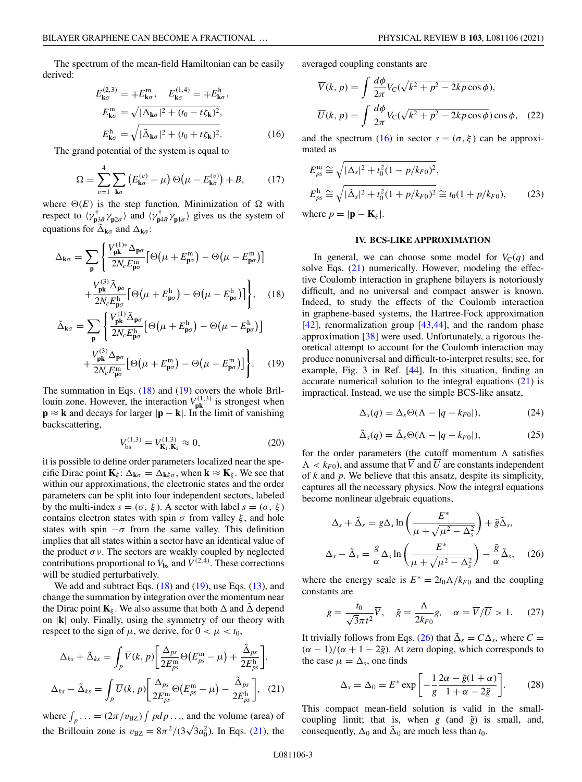<span id="page-2-0"></span>The spectrum of the mean-field Hamiltonian can be easily derived:

$$
E_{\mathbf{k}\sigma}^{(2,3)} = \mp E_{\mathbf{k}\sigma}^{\mathfrak{m}}, \quad E_{\mathbf{k}\sigma}^{(1,4)} = \mp E_{\mathbf{k}\sigma}^{\mathfrak{h}},
$$

$$
E_{\mathbf{k}\sigma}^{\mathfrak{m}} = \sqrt{|\Delta_{\mathbf{k}\sigma}|^2 + (t_0 - t\zeta_{\mathbf{k}})^2},
$$

$$
E_{\mathbf{k}\sigma}^{\mathfrak{h}} = \sqrt{|\tilde{\Delta}_{\mathbf{k}\sigma}|^2 + (t_0 + t\zeta_{\mathbf{k}})^2}.
$$
(16)

The grand potential of the system is equal to

$$
\Omega = \sum_{v=1}^{4} \sum_{\mathbf{k}\sigma} \left( E_{\mathbf{k}\sigma}^{(v)} - \mu \right) \Theta \left( \mu - E_{\mathbf{k}\sigma}^{(v)} \right) + B, \tag{17}
$$

where  $\Theta(E)$  is the step function. Minimization of  $\Omega$  with respect to  $\langle \gamma_{\mathbf{p}3\bar{\sigma}}^{\dagger} \gamma_{\mathbf{p}2\sigma} \rangle$  and  $\langle \gamma_{\mathbf{p}4\bar{\sigma}}^{\dagger} \gamma_{\mathbf{p}1\sigma} \rangle$  gives us the system of equations for  $\tilde{\Delta}_{\mathbf{k}\sigma}$  and  $\Delta_{\mathbf{k}\sigma}$ :

$$
\Delta_{\mathbf{k}\sigma} = \sum_{\mathbf{p}} \left\{ \frac{V_{\mathbf{p}\mathbf{k}}^{(1)*} \Delta_{\mathbf{p}\sigma}}{2N_c E_{\mathbf{p}\sigma}^m} \left[ \Theta\left(\mu + E_{\mathbf{p}\sigma}^m\right) - \Theta\left(\mu - E_{\mathbf{p}\sigma}^m\right) \right] + \frac{V_{\mathbf{p}\mathbf{k}}^{(3)} \tilde{\Delta}_{\mathbf{p}\sigma}}{2N_c E_{\mathbf{p}\sigma}^h} \left[ \Theta\left(\mu + E_{\mathbf{p}\sigma}^h\right) - \Theta\left(\mu - E_{\mathbf{p}\sigma}^h\right) \right] \right\}, \quad (18)
$$

$$
\tilde{\Delta}_{\mathbf{k}\sigma} = \sum_{\mathbf{p}} \left\{ \frac{V_{\mathbf{p}\mathbf{k}}^{(1)} \tilde{\Delta}_{\mathbf{p}\sigma}}{2N_c E_{\mathbf{p}\sigma}^{\mathbf{h}}} \left[ \Theta\left(\mu + E_{\mathbf{p}\sigma}^{\mathbf{h}}\right) - \Theta\left(\mu - E_{\mathbf{p}\sigma}^{\mathbf{h}}\right) \right] + \frac{V_{\mathbf{p}\mathbf{k}}^{(3)} \Delta_{\mathbf{p}\sigma}}{2N_c E_{\mathbf{p}\sigma}^{\mathbf{m}}} \left[ \Theta\left(\mu + E_{\mathbf{p}\sigma}^{\mathbf{m}}\right) - \Theta\left(\mu - E_{\mathbf{p}\sigma}^{\mathbf{m}}\right) \right] \right\}.
$$
 (19)

The summation in Eqs.  $(18)$  and  $(19)$  covers the whole Brillouin zone. However, the interaction  $V_{\text{pk}}^{(1,3)}$  is strongest when  $\mathbf{p} \approx \mathbf{k}$  and decays for larger  $|\mathbf{p} - \mathbf{k}|$ . In the limit of vanishing backscattering,

$$
V_{\rm bs}^{(1,3)} \equiv V_{\mathbf{K}_1, \mathbf{K}_2}^{(1,3)} \approx 0,\tag{20}
$$

it is possible to define order parameters localized near the specific Dirac point  $\mathbf{K}_{\xi}$ :  $\Delta_{\mathbf{k}\sigma} = \Delta_{\mathbf{k}\xi\sigma}$ , when  $\mathbf{k} \approx \mathbf{K}_{\xi}$ . We see that within our approximations, the electronic states and the order parameters can be split into four independent sectors, labeled by the multi-index  $s = (\sigma, \xi)$ . A sector with label  $s = (\sigma, \xi)$ contains electron states with spin  $\sigma$  from valley  $\xi$ , and hole states with spin  $-\sigma$  from the same valley. This definition implies that all states within a sector have an identical value of the product  $\sigma v$ . The sectors are weakly coupled by neglected contributions proportional to  $V_{\text{bs}}$  and  $V^{(2,4)}$ . These corrections will be studied perturbatively.

We add and subtract Eqs.  $(18)$  and  $(19)$ , use Eqs.  $(13)$ , and change the summation by integration over the momentum near the Dirac point  $\mathbf{K}_{\xi}$ . We also assume that both  $\Delta$  and  $\tilde{\Delta}$  depend on |**k**| only. Finally, using the symmetry of our theory with respect to the sign of  $\mu$ , we derive, for  $0 < \mu < t_0$ ,

$$
\Delta_{ks} + \tilde{\Delta}_{ks} = \int_{p} \overline{V}(k, p) \left[ \frac{\Delta_{ps}}{2E_{ps}^{m}} \Theta(E_{ps}^{m} - \mu) + \frac{\tilde{\Delta}_{ps}}{2E_{ps}^{h}} \right],
$$
  

$$
\Delta_{ks} - \tilde{\Delta}_{ks} = \int_{p} \overline{U}(k, p) \left[ \frac{\Delta_{ps}}{2E_{ps}^{m}} \Theta(E_{ps}^{m} - \mu) - \frac{\tilde{\Delta}_{ps}}{2E_{ps}^{h}} \right],
$$
 (21)

where  $\int_{p}$ ... =  $(2\pi/v_{\text{BZ}}) \int pdp$ ..., and the volume (area) of the Brillouin zone is  $v_{\text{BZ}} = 8\pi^2/(3\sqrt{3}a_0^2)$ . In Eqs. (21), the averaged coupling constants are

$$
\overline{V}(k, p) = \int \frac{d\phi}{2\pi} V_C(\sqrt{k^2 + p^2 - 2kp\cos\phi}),
$$
  

$$
\overline{U}(k, p) = \int \frac{d\phi}{2\pi} V_C(\sqrt{k^2 + p^2 - 2kp\cos\phi})\cos\phi, (22)
$$

and the spectrum (16) in sector  $s = (\sigma, \xi)$  can be approximated as

$$
E_{ps}^{\text{m}} \cong \sqrt{|\Delta_s|^2 + t_0^2 (1 - p/k_{F0})^2},
$$
  
\n
$$
E_{ps}^{\text{h}} \cong \sqrt{|\tilde{\Delta}_s|^2 + t_0^2 (1 + p/k_{F0})^2} \cong t_0 (1 + p/k_{F0}),
$$
\n(23)

where  $p = |\mathbf{p} - \mathbf{K}_{\xi}|$ .

### **IV. BCS-LIKE APPROXIMATION**

In general, we can choose some model for  $V_C(q)$  and solve Eqs. (21) numerically. However, modeling the effective Coulomb interaction in graphene bilayers is notoriously difficult, and no universal and compact answer is known. Indeed, to study the effects of the Coulomb interaction in graphene-based systems, the Hartree-Fock approximation  $[42]$ , renormalization group  $[43, 44]$ , and the random phase approximation  $[38]$  were used. Unfortunately, a rigorous theoretical attempt to account for the Coulomb interaction may produce nonuniversal and difficult-to-interpret results; see, for example, Fig. 3 in Ref. [\[44\]](#page-5-0). In this situation, finding an accurate numerical solution to the integral equations  $(21)$  is impractical. Instead, we use the simple BCS-like ansatz,

$$
\Delta_s(q) = \Delta_s \Theta(\Lambda - |q - k_{F0}|), \tag{24}
$$

$$
\tilde{\Delta}_s(q) = \tilde{\Delta}_s \Theta(\Lambda - |q - k_{F0}|),\tag{25}
$$

for the order parameters (the cutoff momentum  $\Lambda$  satisfies  $\Lambda < k_{F0}$ ), and assume that  $\overline{V}$  and  $\overline{U}$  are constants independent of *k* and *p*. We believe that this ansatz, despite its simplicity, captures all the necessary physics. Now the integral equations become nonlinear algebraic equations,

$$
\Delta_s + \tilde{\Delta}_s = g \Delta_s \ln \left( \frac{E^*}{\mu + \sqrt{\mu^2 - \Delta_s^2}} \right) + \tilde{g} \tilde{\Delta}_s,
$$
  

$$
\Delta_s - \tilde{\Delta}_s = \frac{g}{\alpha} \Delta_s \ln \left( \frac{E^*}{\mu + \sqrt{\mu^2 - \Delta_s^2}} \right) - \frac{\tilde{g}}{\alpha} \tilde{\Delta}_s, \quad (26)
$$

where the energy scale is  $E^* = 2t_0 \Lambda / k_{F0}$  and the coupling constants are

$$
g = \frac{t_0}{\sqrt{3}\pi t^2} \overline{V}, \quad \tilde{g} = \frac{\Lambda}{2k_{F0}} g, \quad \alpha = \overline{V}/\overline{U} > 1. \quad (27)
$$

It trivially follows from Eqs. (26) that  $\Delta_s = C \Delta_s$ , where  $C =$  $(\alpha - 1)/(\alpha + 1 - 2\tilde{g})$ . At zero doping, which corresponds to the case  $\mu = \Delta_s$ , one finds

$$
\Delta_s = \Delta_0 = E^* \exp\left[ -\frac{1}{g} \frac{2\alpha - \tilde{g}(1+\alpha)}{1+\alpha - 2\tilde{g}} \right].
$$
 (28)

This compact mean-field solution is valid in the smallcoupling limit; that is, when  $g$  (and  $\tilde{g}$ ) is small, and, consequently,  $\Delta_0$  and  $\Delta_0$  are much less than  $t_0$ .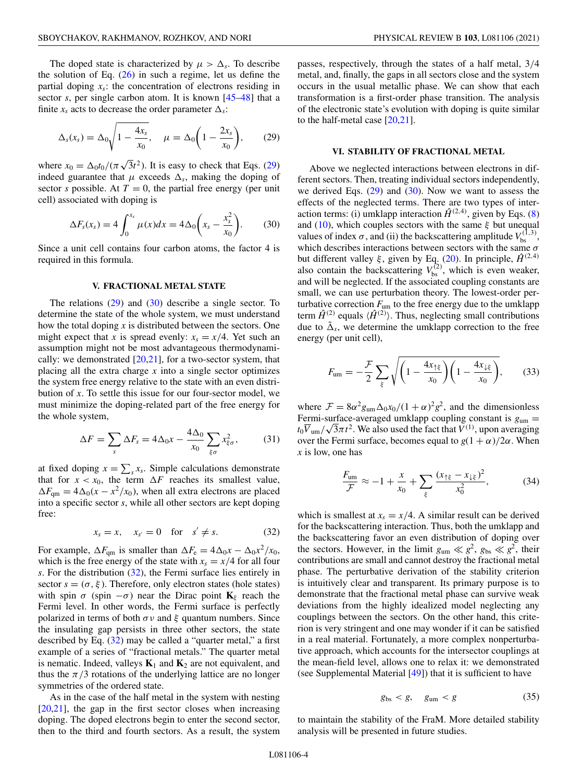The doped state is characterized by  $\mu > \Delta_s$ . To describe the solution of Eq.  $(26)$  in such a regime, let us define the partial doping  $x_s$ : the concentration of electrons residing in sector *s*, per single carbon atom. It is known [\[45–48\]](#page-5-0) that a finite  $x_s$  acts to decrease the order parameter  $\Delta_s$ :

$$
\Delta_s(x_s) = \Delta_0 \sqrt{1 - \frac{4x_s}{x_0}}, \quad \mu = \Delta_0 \left(1 - \frac{2x_s}{x_0}\right),
$$
\n(29)

where  $x_0 = \Delta_0 t_0 / (\pi \sqrt{3} t^2)$ . It is easy to check that Eqs. (29) indeed guarantee that  $\mu$  exceeds  $\Delta_s$ , making the doping of sector *s* possible. At  $T = 0$ , the partial free energy (per unit cell) associated with doping is

$$
\Delta F_s(x_s) = 4 \int_0^{x_s} \mu(x) dx = 4 \Delta_0 \left( x_s - \frac{x_s^2}{x_0} \right). \tag{30}
$$

Since a unit cell contains four carbon atoms, the factor 4 is required in this formula.

#### **V. FRACTIONAL METAL STATE**

The relations  $(29)$  and  $(30)$  describe a single sector. To determine the state of the whole system, we must understand how the total doping *x* is distributed between the sectors. One might expect that *x* is spread evenly:  $x_s = x/4$ . Yet such an assumption might not be most advantageous thermodynamically: we demonstrated  $[20,21]$  $[20,21]$ , for a two-sector system, that placing all the extra charge *x* into a single sector optimizes the system free energy relative to the state with an even distribution of *x*. To settle this issue for our four-sector model, we must minimize the doping-related part of the free energy for the whole system,

$$
\Delta F = \sum_{s} \Delta F_s = 4\Delta_0 x - \frac{4\Delta_0}{x_0} \sum_{\xi \sigma} x_{\xi \sigma}^2, \quad (31)
$$

at fixed doping  $x = \sum_s x_s$ . Simple calculations demonstrate that for  $x < x_0$ , the term  $\Delta F$  reaches its smallest value,  $\Delta F_{\text{qm}} = 4\Delta_0(x - x^2/x_0)$ , when all extra electrons are placed into a specific sector *s*, while all other sectors are kept doping free:

$$
x_s = x, \quad x_{s'} = 0 \quad \text{for} \quad s' \neq s. \tag{32}
$$

For example,  $\Delta F_{\text{qm}}$  is smaller than  $\Delta F_{\text{e}} = 4\Delta_0 x - \Delta_0 x^2/x_0$ , which is the free energy of the state with  $x_s = x/4$  for all four *s*. For the distribution (32), the Fermi surface lies entirely in sector  $s = (\sigma, \xi)$ . Therefore, only electron states (hole states) with spin  $\sigma$  (spin  $-\sigma$ ) near the Dirac point **K**<sub>ξ</sub> reach the Fermi level. In other words, the Fermi surface is perfectly polarized in terms of both  $\sigma v$  and  $\xi$  quantum numbers. Since the insulating gap persists in three other sectors, the state described by Eq. (32) may be called a "quarter metal," a first example of a series of "fractional metals." The quarter metal is nematic. Indeed, valleys  $\mathbf{K}_1$  and  $\mathbf{K}_2$  are not equivalent, and thus the  $\pi/3$  rotations of the underlying lattice are no longer symmetries of the ordered state.

As in the case of the half metal in the system with nesting [\[20](#page-4-0)[,21\]](#page-5-0), the gap in the first sector closes when increasing doping. The doped electrons begin to enter the second sector, then to the third and fourth sectors. As a result, the system passes, respectively, through the states of a half metal, 3/4 metal, and, finally, the gaps in all sectors close and the system occurs in the usual metallic phase. We can show that each transformation is a first-order phase transition. The analysis of the electronic state's evolution with doping is quite similar to the half-metal case [\[20](#page-4-0)[,21\]](#page-5-0).

## **VI. STABILITY OF FRACTIONAL METAL**

Above we neglected interactions between electrons in different sectors. Then, treating individual sectors independently, we derived Eqs.  $(29)$  and  $(30)$ . Now we want to assess the effects of the neglected terms. There are two types of interaction terms: (i) umklapp interaction  $\hat{H}^{(2,4)}$ , given by Eqs. [\(8\)](#page-1-0) and [\(10\)](#page-1-0), which couples sectors with the same  $\xi$  but unequal values of index  $\sigma$ , and (ii) the backscattering amplitude  $V_{\text{bs}}^{(1,3)}$ , which describes interactions between sectors with the same  $\sigma$ but different valley  $\xi$ , given by Eq. [\(20\)](#page-2-0). In principle,  $\hat{H}^{(2,4)}$ also contain the backscattering  $V_{\rm bs}^{(2)}$ , which is even weaker, and will be neglected. If the associated coupling constants are small, we can use perturbation theory. The lowest-order perturbative correction  $F_{um}$  to the free energy due to the umklapp term  $\hat{H}^{(2)}$  equals  $\langle \hat{H}^{(2)} \rangle$ . Thus, neglecting small contributions due to  $\tilde{\Delta}_s$ , we determine the umklapp correction to the free energy (per unit cell),

$$
F_{\rm um} = -\frac{\mathcal{F}}{2} \sum_{\xi} \sqrt{\left(1 - \frac{4x_{\uparrow \xi}}{x_0}\right) \left(1 - \frac{4x_{\downarrow \xi}}{x_0}\right)},\qquad(33)
$$

where  $\mathcal{F} = 8\alpha^2 g_{\text{um}}\Delta_0 x_0/(1+\alpha)^2 g^2$ , and the dimensionless Fermi-surface-averaged umklapp coupling constant is *g*um =  $t_0 \overline{V}_{um}/\sqrt{3\pi t^2}$ . We also used the fact that  $V^{(1)}$ , upon averaging over the Fermi surface, becomes equal to  $g(1 + \alpha)/2\alpha$ . When *x* is low, one has

$$
\frac{F_{\text{um}}}{\mathcal{F}} \approx -1 + \frac{x}{x_0} + \sum_{\xi} \frac{(x_{\uparrow \xi} - x_{\downarrow \xi})^2}{x_0^2},\tag{34}
$$

which is smallest at  $x_s = x/4$ . A similar result can be derived for the backscattering interaction. Thus, both the umklapp and the backscattering favor an even distribution of doping over the sectors. However, in the limit  $g_{um} \ll g^2$ ,  $g_{bs} \ll g^2$ , their contributions are small and cannot destroy the fractional metal phase. The perturbative derivation of the stability criterion is intuitively clear and transparent. Its primary purpose is to demonstrate that the fractional metal phase can survive weak deviations from the highly idealized model neglecting any couplings between the sectors. On the other hand, this criterion is very stringent and one may wonder if it can be satisfied in a real material. Fortunately, a more complex nonperturbative approach, which accounts for the intersector couplings at the mean-field level, allows one to relax it: we demonstrated (see Supplemental Material [\[49\]](#page-5-0)) that it is sufficient to have

$$
g_{\rm bs} < g, \quad g_{\rm um} < g \tag{35}
$$

to maintain the stability of the FraM. More detailed stability analysis will be presented in future studies.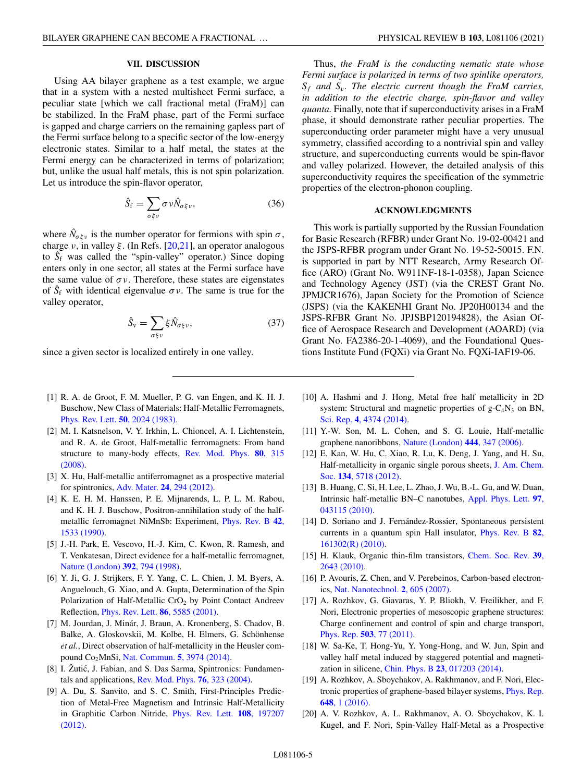### **VII. DISCUSSION**

<span id="page-4-0"></span>Using AA bilayer graphene as a test example, we argue that in a system with a nested multisheet Fermi surface, a peculiar state [which we call fractional metal (FraM)] can be stabilized. In the FraM phase, part of the Fermi surface is gapped and charge carriers on the remaining gapless part of the Fermi surface belong to a specific sector of the low-energy electronic states. Similar to a half metal, the states at the Fermi energy can be characterized in terms of polarization; but, unlike the usual half metals, this is not spin polarization. Let us introduce the spin-flavor operator,

$$
\hat{S}_{\rm f} = \sum_{\sigma \xi \nu} \sigma \nu \hat{N}_{\sigma \xi \nu},\tag{36}
$$

where  $\hat{N}_{\sigma\xi\nu}$  is the number operator for fermions with spin  $\sigma$ , charge  $v$ , in valley  $\xi$ . (In Refs. [20[,21\]](#page-5-0), an operator analogous to  $\hat{S}_f$  was called the "spin-valley" operator.) Since doping enters only in one sector, all states at the Fermi surface have the same value of  $\sigma v$ . Therefore, these states are eigenstates of  $S_f$  with identical eigenvalue  $\sigma v$ . The same is true for the valley operator,

$$
\hat{S}_v = \sum_{\sigma \xi v} \xi \hat{N}_{\sigma \xi v},\tag{37}
$$

since a given sector is localized entirely in one valley.

- [1] R. A. de Groot, F. M. Mueller, P. G. van Engen, and K. H. J. Buschow, New Class of Materials: Half-Metallic Ferromagnets, [Phys. Rev. Lett.](https://doi.org/10.1103/PhysRevLett.50.2024) **50**, 2024 (1983).
- [2] M. I. Katsnelson, V. Y. Irkhin, L. Chioncel, A. I. Lichtenstein, and R. A. de Groot, Half-metallic ferromagnets: From band [structure to many-body effects,](https://doi.org/10.1103/RevModPhys.80.315) Rev. Mod. Phys. **80**, 315 (2008).
- [3] X. Hu, Half-metallic antiferromagnet as a prospective material for spintronics, Adv. Mater. **24**[, 294 \(2012\).](https://doi.org/10.1002/adma.201102555)
- [4] K. E. H. M. Hanssen, P. E. Mijnarends, L. P. L. M. Rabou, and K. H. J. Buschow, Positron-annihilation study of the half[metallic ferromagnet NiMnSb: Experiment,](https://doi.org/10.1103/PhysRevB.42.1533) Phys. Rev. B **42**, 1533 (1990).
- [5] J.-H. Park, E. Vescovo, H.-J. Kim, C. Kwon, R. Ramesh, and T. Venkatesan, Direct evidence for a half-metallic ferromagnet, [Nature \(London\)](https://doi.org/10.1038/33883) **392**, 794 (1998).
- [6] Y. Ji, G. J. Strijkers, F. Y. Yang, C. L. Chien, J. M. Byers, A. Anguelouch, G. Xiao, and A. Gupta, Determination of the Spin Polarization of Half-Metallic CrO<sub>2</sub> by Point Contact Andreev Reflection, [Phys. Rev. Lett.](https://doi.org/10.1103/PhysRevLett.86.5585) **86**, 5585 (2001).
- [7] M. Jourdan, J. Minár, J. Braun, A. Kronenberg, S. Chadov, B. Balke, A. Gloskovskii, M. Kolbe, H. Elmers, G. Schönhense *et al.*, Direct observation of half-metallicity in the Heusler compound Co2MnSi, [Nat. Commun.](https://doi.org/10.1038/ncomms4974) **5**, 3974 (2014).
- [8] I. Žutić, J. Fabian, and S. Das Sarma, Spintronics: Fundamentals and applications, [Rev. Mod. Phys.](https://doi.org/10.1103/RevModPhys.76.323) **76**, 323 (2004).
- [9] A. Du, S. Sanvito, and S. C. Smith, First-Principles Prediction of Metal-Free Magnetism and Intrinsic Half-Metallicity [in Graphitic Carbon Nitride,](https://doi.org/10.1103/PhysRevLett.108.197207) Phys. Rev. Lett. **108**, 197207 (2012).

Thus, *the FraM is the conducting nematic state whose Fermi surface is polarized in terms of two spinlike operators, Sf and Sv. The electric current though the FraM carries, in addition to the electric charge, spin-flavor and valley quanta.* Finally, note that if superconductivity arises in a FraM phase, it should demonstrate rather peculiar properties. The superconducting order parameter might have a very unusual symmetry, classified according to a nontrivial spin and valley structure, and superconducting currents would be spin-flavor and valley polarized. However, the detailed analysis of this superconductivity requires the specification of the symmetric properties of the electron-phonon coupling.

### **ACKNOWLEDGMENTS**

This work is partially supported by the Russian Foundation for Basic Research (RFBR) under Grant No. 19-02-00421 and the JSPS-RFBR program under Grant No. 19-52-50015. F.N. is supported in part by NTT Research, Army Research Office (ARO) (Grant No. W911NF-18-1-0358), Japan Science and Technology Agency (JST) (via the CREST Grant No. JPMJCR1676), Japan Society for the Promotion of Science (JSPS) (via the KAKENHI Grant No. JP20H00134 and the JSPS-RFBR Grant No. JPJSBP120194828), the Asian Office of Aerospace Research and Development (AOARD) (via Grant No. FA2386-20-1-4069), and the Foundational Questions Institute Fund (FQXi) via Grant No. FQXi-IAF19-06.

- [10] A. Hashmi and J. Hong, Metal free half metallicity in 2D system: Structural and magnetic properties of  $g - C_4N_3$  on BN, Sci. Rep. **4**[, 4374 \(2014\).](https://doi.org/10.1038/srep04374)
- [11] Y.-W. Son, M. L. Cohen, and S. G. Louie, Half-metallic graphene nanoribbons, [Nature \(London\)](https://doi.org/10.1038/nature05180) **444**, 347 (2006).
- [12] E. Kan, W. Hu, C. Xiao, R. Lu, K. Deng, J. Yang, and H. Su, [Half-metallicity in organic single porous sheets,](https://doi.org/10.1021/ja210822c) J. Am. Chem. Soc. **134**, 5718 (2012).
- [13] B. Huang, C. Si, H. Lee, L. Zhao, J. Wu, B.-L. Gu, and W. Duan, [Intrinsic half-metallic BN–C nanotubes,](https://doi.org/10.1063/1.3474620) Appl. Phys. Lett. **97**, 043115 (2010).
- [14] D. Soriano and J. Fernández-Rossier, Spontaneous persistent [currents in a quantum spin Hall insulator,](https://doi.org/10.1103/PhysRevB.82.161302) Phys. Rev. B **82**, 161302(R) (2010).
- [15] [H. Klauk, Organic thin-film transistors,](https://doi.org/10.1039/b909902f) Chem. Soc. Rev. **39**, 2643 (2010).
- [16] P. Avouris, Z. Chen, and V. Perebeinos, Carbon-based electronics, [Nat. Nanotechnol.](https://doi.org/10.1038/nnano.2007.300) **2**, 605 (2007).
- [17] A. Rozhkov, G. Giavaras, Y. P. Bliokh, V. Freilikher, and F. Nori, Electronic properties of mesoscopic graphene structures: Charge confinement and control of spin and charge transport, Phys. Rep. **503**[, 77 \(2011\).](https://doi.org/10.1016/j.physrep.2011.02.002)
- [18] W. Sa-Ke, T. Hong-Yu, Y. Yong-Hong, and W. Jun, Spin and valley half metal induced by staggered potential and magnetization in silicene, Chin. Phys. B **23**[, 017203 \(2014\).](https://doi.org/10.1088/1674-1056/23/1/017203)
- [19] A. Rozhkov, A. Sboychakov, A. Rakhmanov, and F. Nori, Elec[tronic properties of graphene-based bilayer systems,](https://doi.org/10.1016/j.physrep.2016.07.003) Phys. Rep. **648**, 1 (2016).
- [20] A. V. Rozhkov, A. L. Rakhmanov, A. O. Sboychakov, K. I. Kugel, and F. Nori, Spin-Valley Half-Metal as a Prospective